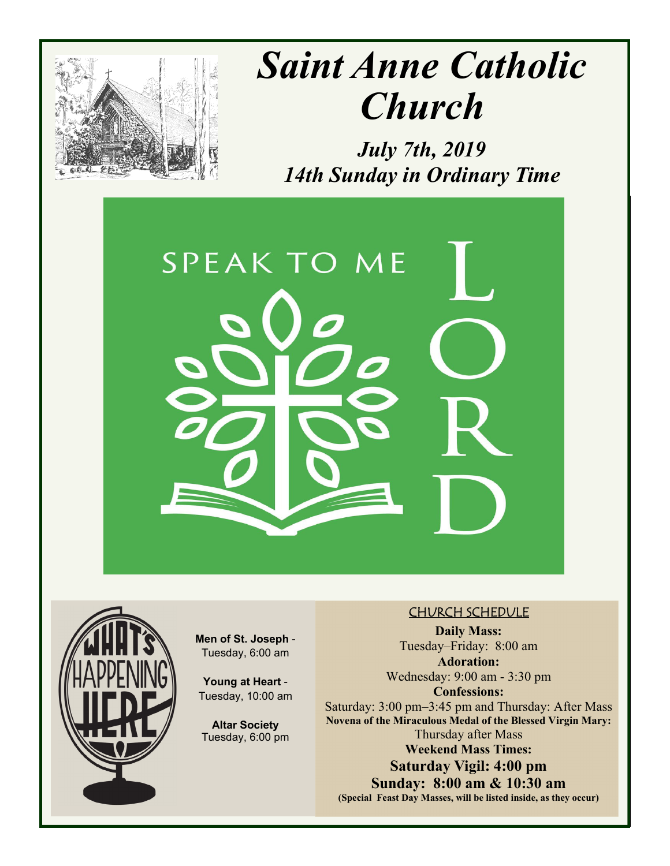

# *Saint Anne Catholic Church*

*July 7th, 2019 14th Sunday in Ordinary Time* 





**Men of St. Joseph** - Tuesday, 6:00 am

**Young at Heart** - Tuesday, 10:00 am

**Altar Society**  Tuesday, 6:00 pm

#### CHURCH SCHEDULE

**Daily Mass:**  Tuesday–Friday: 8:00 am **Adoration:** 

Wednesday: 9:00 am - 3:30 pm **Confessions:**  Saturday: 3:00 pm–3:45 pm and Thursday: After Mass **Novena of the Miraculous Medal of the Blessed Virgin Mary:**  Thursday after Mass **Weekend Mass Times: Saturday Vigil: 4:00 pm** 

**Sunday: 8:00 am & 10:30 am (Special Feast Day Masses, will be listed inside, as they occur)**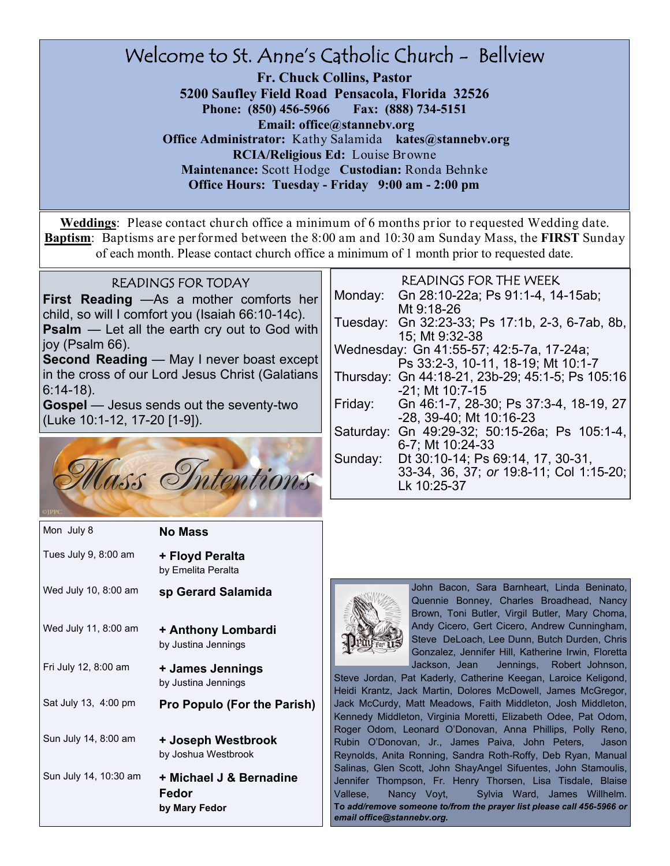#### Welcome to St. Anne's Catholic Church - Bellview **Fr. Chuck Collins, Pastor 5200 Saufley Field Road Pensacola, Florida 32526 Phone: (850) 456-5966 Fax: (888) 734-5151 Email: office@stannebv.org Office Administrator:** Kathy Salamida **kates@stannebv.org RCIA/Religious Ed:** Louise Browne **Maintenance:** Scott Hodge **Custodian:** Ronda Behnke **Office Hours: Tuesday - Friday 9:00 am - 2:00 pm**

**Weddings**: Please contact church office a minimum of 6 months prior to requested Wedding date. **Baptism**: Baptisms are performed between the 8:00 am and 10:30 am Sunday Mass, the **FIRST** Sunday of each month. Please contact church office a minimum of 1 month prior to requested date.

#### READINGS FOR TODAY

**First Reading** —As a mother comforts her child, so will I comfort you (Isaiah 66:10-14c). **Psalm** — Let all the earth cry out to God with joy (Psalm 66).

**Second Reading** — May I never boast except in the cross of our Lord Jesus Christ (Galatians 6:14-18).

**Gospel** — Jesus sends out the seventy-two (Luke 10:1-12, 17-20 [1-9]).



| Mon July 8            | <b>No Mass</b>                                    |
|-----------------------|---------------------------------------------------|
| Tues July 9, 8:00 am  | + Floyd Peralta<br>by Emelita Peralta             |
| Wed July 10, 8:00 am  | sp Gerard Salamida                                |
| Wed July 11, 8:00 am  | + Anthony Lombardi<br>by Justina Jennings         |
| Fri July 12, 8:00 am  | + James Jennings<br>by Justina Jennings           |
| Sat July 13, 4:00 pm  | <b>Pro Populo (For the Parish)</b>                |
| Sun July 14, 8:00 am  | + Joseph Westbrook<br>by Joshua Westbrook         |
| Sun July 14, 10:30 am | + Michael J & Bernadine<br>Fedor<br>by Mary Fedor |

#### READINGS FOR THE WEEK

| Monday:                                  | Gn 28:10-22a; Ps 91:1-4, 14-15ab;                |  |
|------------------------------------------|--------------------------------------------------|--|
|                                          | Mt 9:18-26                                       |  |
|                                          | Tuesday: Gn 32:23-33; Ps 17:1b, 2-3, 6-7ab, 8b,  |  |
|                                          | 15; Mt 9:32-38                                   |  |
| Wednesday: Gn 41:55-57; 42:5-7a, 17-24a; |                                                  |  |
|                                          | Ps 33:2-3, 10-11, 18-19; Mt 10:1-7               |  |
|                                          | Thursday: Gn 44:18-21, 23b-29; 45:1-5; Ps 105:16 |  |
|                                          | $-21$ ; Mt 10:7-15                               |  |
| Friday:                                  | Gn 46:1-7, 28-30; Ps 37:3-4, 18-19, 27           |  |
|                                          | -28, 39-40; Mt 10:16-23                          |  |
| Saturday:                                | Gn 49:29-32; 50:15-26a; Ps 105:1-4,              |  |
|                                          | 6-7; Mt 10:24-33                                 |  |
| Sunday:                                  | Dt 30:10-14; Ps 69:14, 17, 30-31,                |  |
|                                          | 33-34, 36, 37; or 19:8-11; Col 1:15-20;          |  |
|                                          | Lk 10:25-37                                      |  |



John Bacon, Sara Barnheart, Linda Beninato, Quennie Bonney, Charles Broadhead, Nancy Brown, Toni Butler, Virgil Butler, Mary Choma, Andy Cicero, Gert Cicero, Andrew Cunningham, Steve DeLoach, Lee Dunn, Butch Durden, Chris Gonzalez, Jennifer Hill, Katherine Irwin, Floretta Jackson, Jean Jennings, Robert Johnson,

Steve Jordan, Pat Kaderly, Catherine Keegan, Laroice Keligond, Heidi Krantz, Jack Martin, Dolores McDowell, James McGregor, Jack McCurdy, Matt Meadows, Faith Middleton, Josh Middleton, Kennedy Middleton, Virginia Moretti, Elizabeth Odee, Pat Odom, Roger Odom, Leonard O'Donovan, Anna Phillips, Polly Reno, Rubin O'Donovan, Jr., James Paiva, John Peters, Jason Reynolds, Anita Ronning, Sandra Roth-Roffy, Deb Ryan, Manual Salinas, Glen Scott, John ShayAngel Sifuentes, John Stamoulis, Jennifer Thompson, Fr. Henry Thorsen, Lisa Tisdale, Blaise Vallese, Nancy Voyt, Sylvia Ward, James Willhelm. **T***o add/remove someone to/from the prayer list please call 456-5966 or email office@stannebv.org.*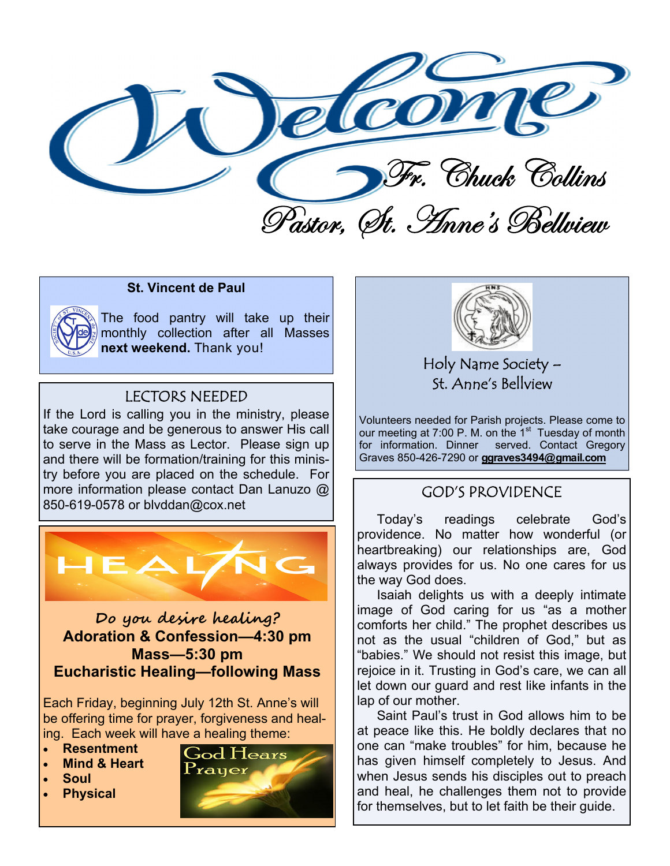

#### **St. Vincent de Paul**

The food pantry will take up their monthly collection after all Masses next weekend. Thank you!

#### **LECTORS NEEDED**

If the Lord is calling you in the ministry, please take courage and be generous to answer His call to serve in the Mass as Lector. Please sign up and there will be formation/training for this ministry before you are placed on the schedule. For more information please contact Dan Lanuzo @ 850-619-0578 or blvddan@cox.net



#### Do you desire healing? **Adoration & Confession-4:30 pm Mass-5:30 pm Eucharistic Healing-following Mass**

Each Friday, beginning July 12th St. Anne's will be offering time for prayer, forgiveness and healing. Each week will have a healing theme:

- **Resentment**
- **Mind & Heart**
- **Soul**
- **Physical**





Holy Name Society -St. Anne's Bellyjew

Volunteers needed for Parish projects. Please come to our meeting at 7:00 P. M. on the 1<sup>st</sup> Tuesday of month for information. Dinner served. Contact Gregory Graves 850-426-7290 or ggraves3494@gmail.com

#### **GOD'S PROVIDENCE**

Todav's readings celebrate God's providence. No matter how wonderful (or heartbreaking) our relationships are, God always provides for us. No one cares for us the way God does.

Isaiah delights us with a deeply intimate image of God caring for us "as a mother comforts her child." The prophet describes us not as the usual "children of God," but as "babies." We should not resist this image, but rejoice in it. Trusting in God's care, we can all let down our guard and rest like infants in the lap of our mother.

Saint Paul's trust in God allows him to be at peace like this. He boldly declares that no one can "make troubles" for him, because he has given himself completely to Jesus. And when Jesus sends his disciples out to preach and heal, he challenges them not to provide for themselves, but to let faith be their guide.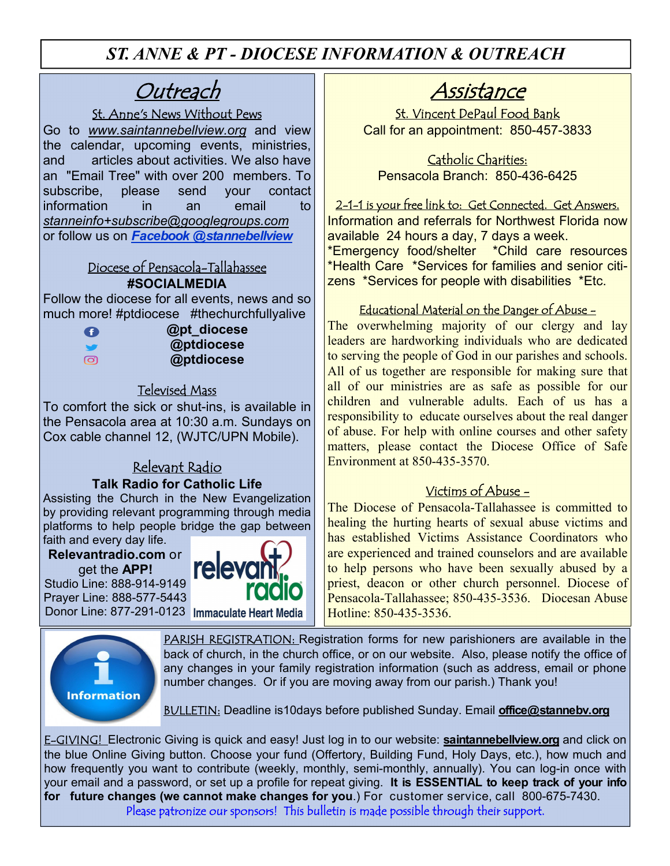*ST. ANNE & PT - DIOCESE INFORMATION & OUTREACH* 

## **Outreach**

#### St. Anne's News Without Pews

Go to *www.saintannebellview.org* and view the calendar, upcoming events, ministries, and articles about activities. We also have an "Email Tree" with over 200 members. To subscribe, please send your contact information in an email to *stanneinfo+subscribe@googlegroups.com* or follow us on *Facebook @stannebellview* 

#### Diocese of Pensacola-Tallahassee **#SOCIALMEDIA**

Follow the diocese for all events, news and so much more! #ptdiocese #thechurchfullyalive

 **@pt\_diocese @ptdiocese @ptdiocese** 

#### Televised Mass

To comfort the sick or shut-ins, is available in the Pensacola area at 10:30 a.m. Sundays on Cox cable channel 12, (WJTC/UPN Mobile).

#### Relevant Radio **Talk Radio for Catholic Life**

Assisting the Church in the New Evangelization by providing relevant programming through media platforms to help people bridge the gap between faith and every day life.

**Relevantradio.com** or

get the **APP!** Studio Line: 888-914-9149 Prayer Line: 888-577-5443 Donor Line: 877-291-0123 Immaculate Heart Media





### Assistance

St. Vincent DePaul Food Bank Call for an appointment: 850-457-3833

Catholic Charities: Pensacola Branch: 850-436-6425

2-1-1 is your free link to: Get Connected. Get Answers. Information and referrals for Northwest Florida now available 24 hours a day, 7 days a week. \*Emergency food/shelter \*Child care resources

\*Health Care \*Services for families and senior citizens \*Services for people with disabilities \*Etc.

#### Educational Material on the Danger of Abuse -

The overwhelming majority of our clergy and lay leaders are hardworking individuals who are dedicated to serving the people of God in our parishes and schools. All of us together are responsible for making sure that all of our ministries are as safe as possible for our children and vulnerable adults. Each of us has a responsibility to educate ourselves about the real danger of abuse. For help with online courses and other safety matters, please contact the Diocese Office of Safe Environment at 850-435-3570.

#### Victims of Abuse -

The Diocese of Pensacola-Tallahassee is committed to healing the hurting hearts of sexual abuse victims and has established Victims Assistance Coordinators who are experienced and trained counselors and are available to help persons who have been sexually abused by a priest, deacon or other church personnel. Diocese of Pensacola-Tallahassee; 850-435-3536. Diocesan Abuse Hotline: 850-435-3536.

PARISH REGISTRATION: Registration forms for new parishioners are available in the back of church, in the church office, or on our website. Also, please notify the office of any changes in your family registration information (such as address, email or phone number changes. Or if you are moving away from our parish.) Thank you!

BULLETIN: Deadline is10days before published Sunday. Email **office@stannebv.org** 

E-GIVING! Electronic Giving is quick and easy! Just log in to our website: **saintannebellview.org** and click on the blue Online Giving button. Choose your fund (Offertory, Building Fund, Holy Days, etc.), how much and how frequently you want to contribute (weekly, monthly, semi-monthly, annually). You can log-in once with your email and a password, or set up a profile for repeat giving. **It is ESSENTIAL to keep track of your info for future changes (we cannot make changes for you**.) For customer service, call 800-675-7430. Please patronize our sponsors! This bulletin is made possible through their support.